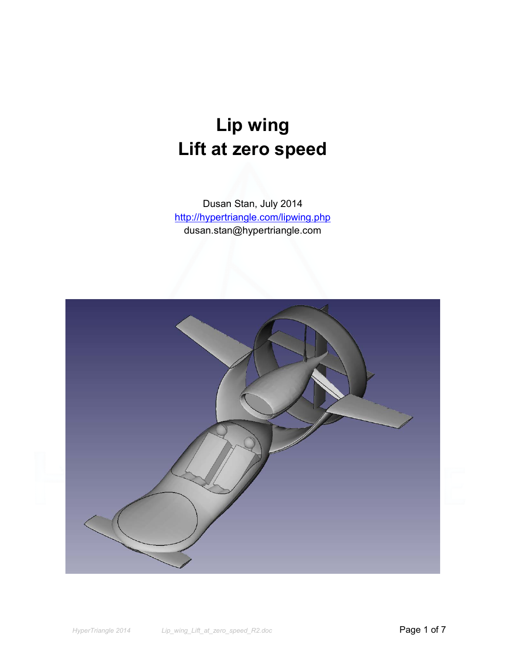# **Lip wing Lift at zero speed**

Dusan Stan, July 2014 http://hypertriangle.com/lipwing.php dusan.stan@hypertriangle.com

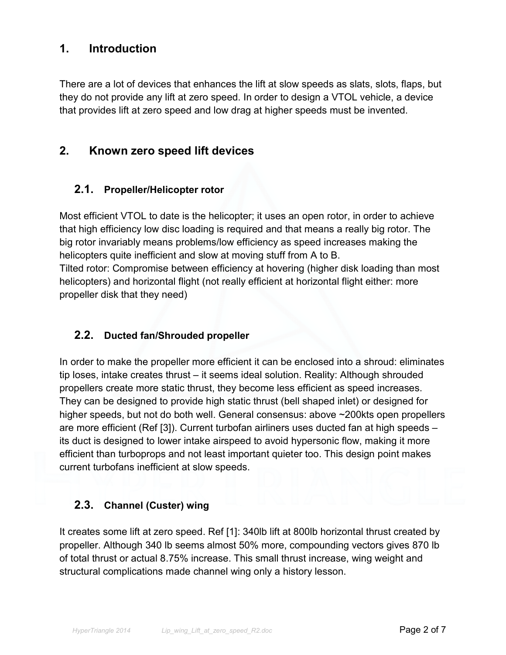## **1. Introduction**

There are a lot of devices that enhances the lift at slow speeds as slats, slots, flaps, but they do not provide any lift at zero speed. In order to design a VTOL vehicle, a device that provides lift at zero speed and low drag at higher speeds must be invented.

## **2. Known zero speed lift devices**

#### **2.1. Propeller/Helicopter rotor**

Most efficient VTOL to date is the helicopter; it uses an open rotor, in order to achieve that high efficiency low disc loading is required and that means a really big rotor. The big rotor invariably means problems/low efficiency as speed increases making the helicopters quite inefficient and slow at moving stuff from A to B. Tilted rotor: Compromise between efficiency at hovering (higher disk loading than most helicopters) and horizontal flight (not really efficient at horizontal flight either: more propeller disk that they need)

### **2.2. Ducted fan/Shrouded propeller**

In order to make the propeller more efficient it can be enclosed into a shroud: eliminates tip loses, intake creates thrust – it seems ideal solution. Reality: Although shrouded propellers create more static thrust, they become less efficient as speed increases. They can be designed to provide high static thrust (bell shaped inlet) or designed for higher speeds, but not do both well. General consensus: above ~200kts open propellers are more efficient (Ref [3]). Current turbofan airliners uses ducted fan at high speeds – its duct is designed to lower intake airspeed to avoid hypersonic flow, making it more efficient than turboprops and not least important quieter too. This design point makes current turbofans inefficient at slow speeds.

#### **2.3. Channel (Custer) wing**

It creates some lift at zero speed. Ref [1]: 340lb lift at 800lb horizontal thrust created by propeller. Although 340 lb seems almost 50% more, compounding vectors gives 870 lb of total thrust or actual 8.75% increase. This small thrust increase, wing weight and structural complications made channel wing only a history lesson.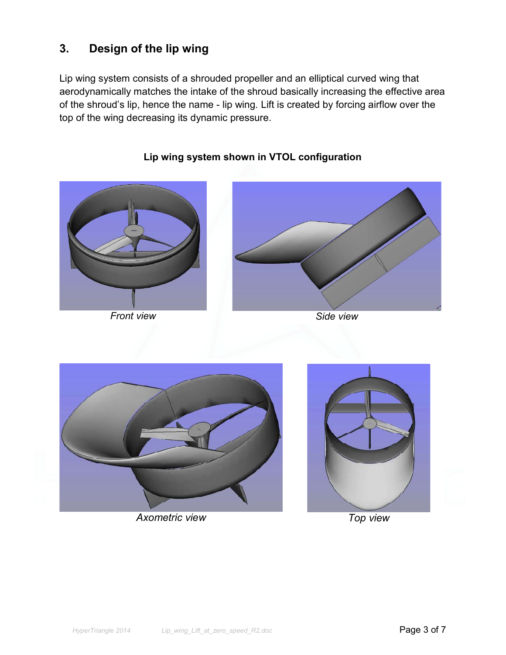# **3. Design of the lip wing**

Lip wing system consists of a shrouded propeller and an elliptical curved wing that aerodynamically matches the intake of the shroud basically increasing the effective area of the shroud's lip, hence the name - lip wing. Lift is created by forcing airflow over the top of the wing decreasing its dynamic pressure.



## **Lip wing system shown in VTOL configuration**





*Axometric view Top view* 

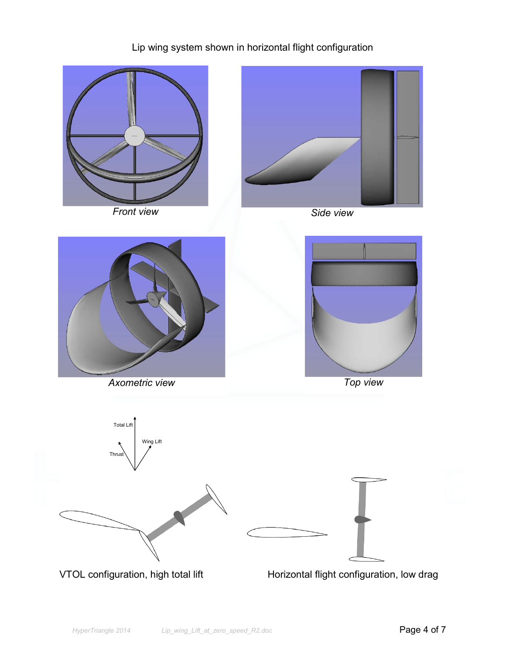## Lip wing system shown in horizontal flight configuration

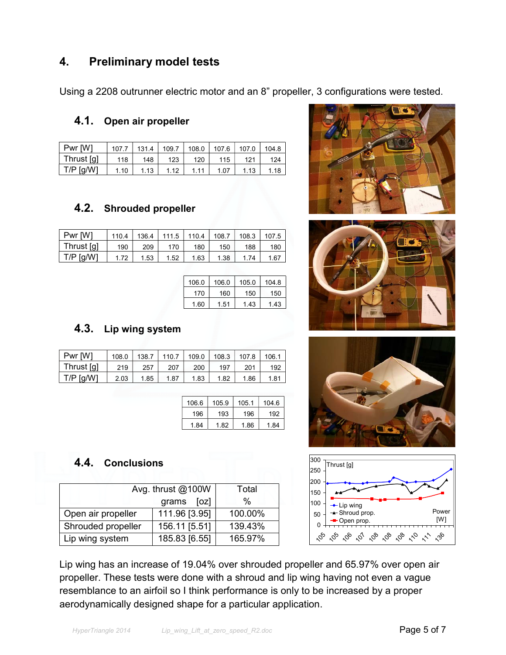## **4. Preliminary model tests**

Using a 2208 outrunner electric motor and an 8" propeller, 3 configurations were tested.

#### **4.1. Open air propeller**

| Pwr [W]     | 107.7 | 131.4 | 109.7 | 108.0 | 107.6 | 107.0 | 104.8 |
|-------------|-------|-------|-------|-------|-------|-------|-------|
| Thrust [g]  | 118   | 148   | 123   | 120   | 115   | 121   | 124   |
| $T/P$ [g/W] | 1.10  | 1.13  | 1.12  | 1 1 1 | 1.07  | .13   | 1.18  |

### **4.2. Shrouded propeller**

| Pwr [W]    | 110.4 | 136.4 | 111.5 | 110.4 | 108.7 | 108.3 | 107.5 |
|------------|-------|-------|-------|-------|-------|-------|-------|
| Thrust [g] | 190   | 209   | 170   | 180   | 150   | 188   | 180   |
| T/P [g/W]  | 1.72  | 1.53  | 1.52  | 1.63  | 1.38  | 74    | .67   |

| 106 0 | 106.0 | 105.0 | 104.8 |
|-------|-------|-------|-------|
| 170   | 160   | 150   | 150   |
| 1.60  | 1.51  | 1 43  | 1 43  |

### **4.3. Lip wing system**

| 108.0 | 138.7 | 110.7 | 109.0 | 108.3 | 107.8 | 106.1 |
|-------|-------|-------|-------|-------|-------|-------|
| 219   | 257   | 207   | 200   | 197   | 201   | 192   |
| 2.03  | 1.85  | 1.87  | 1.83  | 1.82  | 1.86  | 1.81  |
|       |       |       |       |       |       |       |

| 106.6 | 105.9 | 105.1 | 104.6 |
|-------|-------|-------|-------|
| 196   | 193   | 196   | 192   |
| -84   | 1 82  | 186   | 1 84  |

## **4.4. Conclusions**

|                    | Avg. thrust @100W | Total   |
|--------------------|-------------------|---------|
|                    | grams [oz]        | $\%$    |
| Open air propeller | 111.96 [3.95]     | 100.00% |
| Shrouded propeller | 156.11 [5.51]     | 139.43% |
| Lip wing system    | 185.83 [6.55]     | 165.97% |









Lip wing has an increase of 19.04% over shrouded propeller and 65.97% over open air propeller. These tests were done with a shroud and lip wing having not even a vague resemblance to an airfoil so I think performance is only to be increased by a proper aerodynamically designed shape for a particular application.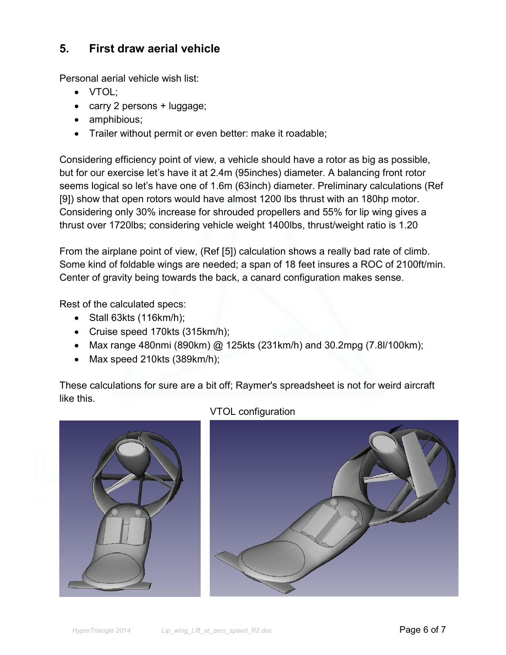## **5. First draw aerial vehicle**

Personal aerial vehicle wish list:

- VTOL;
- carry 2 persons + luggage;
- amphibious;
- Trailer without permit or even better: make it roadable;

Considering efficiency point of view, a vehicle should have a rotor as big as possible, but for our exercise let's have it at 2.4m (95inches) diameter. A balancing front rotor seems logical so let's have one of 1.6m (63inch) diameter. Preliminary calculations (Ref [9]) show that open rotors would have almost 1200 lbs thrust with an 180hp motor. Considering only 30% increase for shrouded propellers and 55% for lip wing gives a thrust over 1720lbs; considering vehicle weight 1400lbs, thrust/weight ratio is 1.20

 From the airplane point of view, (Ref [5]) calculation shows a really bad rate of climb. Some kind of foldable wings are needed; a span of 18 feet insures a ROC of 2100ft/min. Center of gravity being towards the back, a canard configuration makes sense.

Rest of the calculated specs:

- Stall 63kts (116km/h);
- Cruise speed 170kts (315km/h);
- Max range 480nmi (890km) @ 125kts (231km/h) and 30.2mpg (7.8I/100km);
- Max speed 210kts (389km/h);

These calculations for sure are a bit off; Raymer's spreadsheet is not for weird aircraft like this.



VTOL configuration